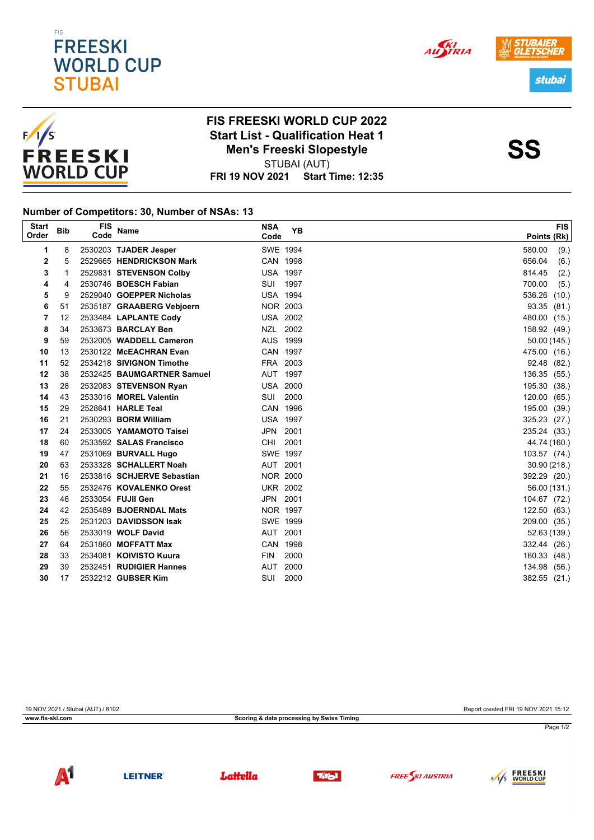





## **FIS FREESKI WORLD CUP 2022** Start List - Qualification Heat 1<br>Men's Freeski Slopestyle<br>SS STUBAI (AUT) **Men's Freeski Slopestyle**

**FRI 19 NOV 2021 Start Time: 12:35**

## **Number of Competitors: 30, Number of NSAs: 13**

| <b>Start</b><br>Order | <b>Bib</b> | <b>FIS</b><br>Code | Name                        | <b>NSA</b><br>Code | <b>YB</b> | <b>FIS</b><br>Points (Rk) |
|-----------------------|------------|--------------------|-----------------------------|--------------------|-----------|---------------------------|
| 1                     | 8          |                    | 2530203 TJADER Jesper       | SWE 1994           |           | 580.00<br>(9.)            |
| 2                     | 5          |                    | 2529665 HENDRICKSON Mark    | CAN 1998           |           | (6.)<br>656.04            |
| 3                     | 1          |                    | 2529831 STEVENSON Colby     | <b>USA 1997</b>    |           | 814.45<br>(2.)            |
| 4                     | 4          |                    | 2530746 BOESCH Fabian       | SUI                | 1997      | 700.00<br>(5.)            |
| 5                     | 9          |                    | 2529040 GOEPPER Nicholas    | <b>USA 1994</b>    |           | 536.26<br>(10.)           |
| 6                     | 51         |                    | 2535187 GRAABERG Vebjoern   | NOR 2003           |           | 93.35<br>(81.)            |
| 7                     | 12         |                    | 2533484 LAPLANTE Cody       | <b>USA 2002</b>    |           | 480.00 (15.)              |
| 8                     | 34         |                    | 2533673 BARCLAY Ben         | NZL 2002           |           | 158.92 (49.)              |
| 9                     | 59         |                    | 2532005 WADDELL Cameron     | AUS 1999           |           | 50.00 (145.)              |
| 10                    | 13         |                    | 2530122 McEACHRAN Evan      | CAN 1997           |           | 475.00 (16.)              |
| 11                    | 52         |                    | 2534218 SIVIGNON Timothe    | FRA 2003           |           | 92.48 (82.)               |
| 12                    | 38         |                    | 2532425 BAUMGARTNER Samuel  | AUT 1997           |           | 136.35 (55.)              |
| 13                    | 28         |                    | 2532083 STEVENSON Ryan      | <b>USA 2000</b>    |           | 195.30 (38.)              |
| 14                    | 43         |                    | 2533016 MOREL Valentin      | <b>SUI</b>         | 2000      | 120.00<br>(65.)           |
| 15                    | 29         |                    | 2528641 HARLE Teal          | CAN 1996           |           | 195.00 (39.)              |
| 16                    | 21         |                    | 2530293 <b>BORM William</b> | <b>USA 1997</b>    |           | 325.23 (27.)              |
| 17                    | 24         |                    | 2533005 YAMAMOTO Taisei     | JPN                | 2001      | 235.24 (33.)              |
| 18                    | 60         |                    | 2533592 SALAS Francisco     | <b>CHI</b>         | 2001      | 44.74 (160.)              |
| 19                    | 47         |                    | 2531069 BURVALL Hugo        | SWE 1997           |           | 103.57 (74.)              |
| 20                    | 63         |                    | 2533328 SCHALLERT Noah      | AUT 2001           |           | 30.90(218.)               |
| 21                    | 16         |                    | 2533816 SCHJERVE Sebastian  | <b>NOR 2000</b>    |           | 392.29 (20.)              |
| 22                    | 55         |                    | 2532476 KOVALENKO Orest     | <b>UKR 2002</b>    |           | 56.00 (131.)              |
| 23                    | 46         |                    | 2533054 FUJII Gen           | JPN 2001           |           | 104.67 (72.)              |
| 24                    | 42         |                    | 2535489 BJOERNDAL Mats      | NOR 1997           |           | 122.50 (63.)              |
| 25                    | 25         |                    | 2531203 DAVIDSSON Isak      | SWE 1999           |           | 209.00 (35.)              |
| 26                    | 56         |                    | 2533019 WOLF David          | AUT 2001           |           | 52.63 (139.)              |
| 27                    | 64         |                    | 2531860 MOFFATT Max         | CAN 1998           |           | 332.44 (26.)              |
| 28                    | 33         |                    | 2534081 KOIVISTO Kuura      | <b>FIN</b>         | 2000      | 160.33 (48.)              |
| 29                    | 39         |                    | 2532451 RUDIGIER Hannes     | AUT                | 2000      | 134.98 (56.)              |
| 30                    | 17         |                    | 2532212 GUBSER Kim          | SUI                | 2000      | 382.55 (21.)              |

19 NOV 2021 / Stubai (AUT) / 8102 Report created FRI 19 NOV 2021 15:12 **www.fis-ski.com Scoring & data processing by Swiss Timing** Page 1/2













AUSTRIA